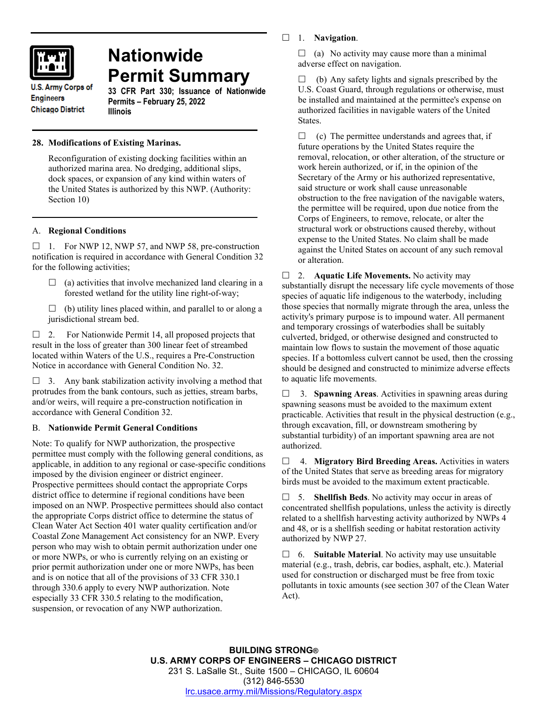

# **Nationwide Permit Summary**

**U.S. Army Corps of Engineers Chicago District** 

**33 CFR Part 330; Issuance of Nationwide Permits – February 25, 2022 Illinois**

# **28. Modifications of Existing Marinas.**

Reconfiguration of existing docking facilities within an authorized marina area. No dredging, additional slips, dock spaces, or expansion of any kind within waters of the United States is authorized by this NWP. (Authority: Section 10)

# A. **Regional Conditions**

 $\Box$  1. For NWP 12, NWP 57, and NWP 58, pre-construction notification is required in accordance with General Condition 32 for the following activities;

- $\Box$  (a) activities that involve mechanized land clearing in a forested wetland for the utility line right-of-way;
- $\Box$  (b) utility lines placed within, and parallel to or along a jurisdictional stream bed.

 $\Box$  2. For Nationwide Permit 14, all proposed projects that result in the loss of greater than 300 linear feet of streambed located within Waters of the U.S., requires a Pre-Construction Notice in accordance with General Condition No. 32.

 $\Box$  3. Any bank stabilization activity involving a method that protrudes from the bank contours, such as jetties, stream barbs, and/or weirs, will require a pre-construction notification in accordance with General Condition 32.

# B. **Nationwide Permit General Conditions**

Note: To qualify for NWP authorization, the prospective permittee must comply with the following general conditions, as applicable, in addition to any regional or case-specific conditions imposed by the division engineer or district engineer. Prospective permittees should contact the appropriate Corps district office to determine if regional conditions have been imposed on an NWP. Prospective permittees should also contact the appropriate Corps district office to determine the status of Clean Water Act Section 401 water quality certification and/or Coastal Zone Management Act consistency for an NWP. Every person who may wish to obtain permit authorization under one or more NWPs, or who is currently relying on an existing or prior permit authorization under one or more NWPs, has been and is on notice that all of the provisions of 33 CFR 330.1 through 330.6 apply to every NWP authorization. Note especially 33 CFR 330.5 relating to the modification, suspension, or revocation of any NWP authorization.

1. **Navigation**.

 $\Box$  (a) No activity may cause more than a minimal adverse effect on navigation.

 $\Box$  (b) Any safety lights and signals prescribed by the U.S. Coast Guard, through regulations or otherwise, must be installed and maintained at the permittee's expense on authorized facilities in navigable waters of the United States.

 $\Box$  (c) The permittee understands and agrees that, if future operations by the United States require the removal, relocation, or other alteration, of the structure or work herein authorized, or if, in the opinion of the Secretary of the Army or his authorized representative, said structure or work shall cause unreasonable obstruction to the free navigation of the navigable waters, the permittee will be required, upon due notice from the Corps of Engineers, to remove, relocate, or alter the structural work or obstructions caused thereby, without expense to the United States. No claim shall be made against the United States on account of any such removal or alteration.

□ 2. **Aquatic Life Movements.** No activity may substantially disrupt the necessary life cycle movements of those species of aquatic life indigenous to the waterbody, including those species that normally migrate through the area, unless the activity's primary purpose is to impound water. All permanent and temporary crossings of waterbodies shall be suitably culverted, bridged, or otherwise designed and constructed to maintain low flows to sustain the movement of those aquatic species. If a bottomless culvert cannot be used, then the crossing should be designed and constructed to minimize adverse effects to aquatic life movements.

 3. **Spawning Areas**. Activities in spawning areas during spawning seasons must be avoided to the maximum extent practicable. Activities that result in the physical destruction (e.g., through excavation, fill, or downstream smothering by substantial turbidity) of an important spawning area are not authorized.

 4. **Migratory Bird Breeding Areas.** Activities in waters of the United States that serve as breeding areas for migratory birds must be avoided to the maximum extent practicable.

 5. **Shellfish Beds**. No activity may occur in areas of concentrated shellfish populations, unless the activity is directly related to a shellfish harvesting activity authorized by NWPs 4 and 48, or is a shellfish seeding or habitat restoration activity authorized by NWP 27.

 6. **Suitable Material**. No activity may use unsuitable material (e.g., trash, debris, car bodies, asphalt, etc.). Material used for construction or discharged must be free from toxic pollutants in toxic amounts (see section 307 of the Clean Water Act).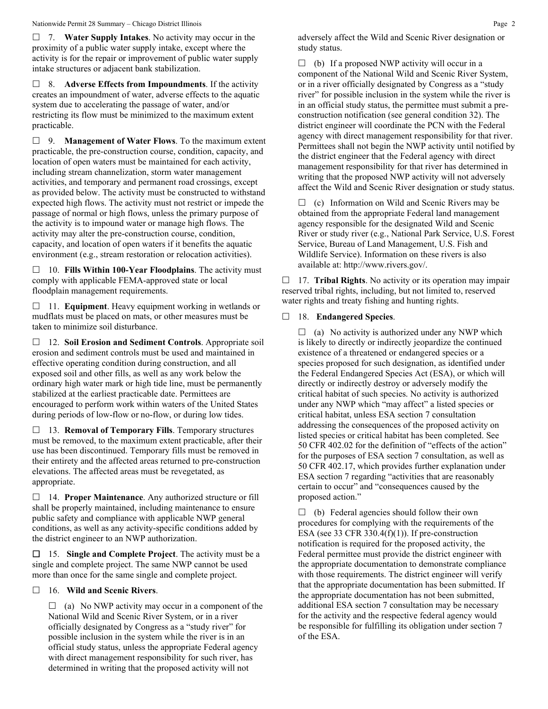7. **Water Supply Intakes**. No activity may occur in the proximity of a public water supply intake, except where the activity is for the repair or improvement of public water supply intake structures or adjacent bank stabilization.

 8. **Adverse Effects from Impoundments**. If the activity creates an impoundment of water, adverse effects to the aquatic system due to accelerating the passage of water, and/or restricting its flow must be minimized to the maximum extent practicable.

 9. **Management of Water Flows**. To the maximum extent practicable, the pre-construction course, condition, capacity, and location of open waters must be maintained for each activity, including stream channelization, storm water management activities, and temporary and permanent road crossings, except as provided below. The activity must be constructed to withstand expected high flows. The activity must not restrict or impede the passage of normal or high flows, unless the primary purpose of the activity is to impound water or manage high flows. The activity may alter the pre-construction course, condition, capacity, and location of open waters if it benefits the aquatic environment (e.g., stream restoration or relocation activities).

 10. **Fills Within 100-Year Floodplains**. The activity must comply with applicable FEMA-approved state or local floodplain management requirements.

□ 11. **Equipment**. Heavy equipment working in wetlands or mudflats must be placed on mats, or other measures must be taken to minimize soil disturbance.

 12. **Soil Erosion and Sediment Controls**. Appropriate soil erosion and sediment controls must be used and maintained in effective operating condition during construction, and all exposed soil and other fills, as well as any work below the ordinary high water mark or high tide line, must be permanently stabilized at the earliest practicable date. Permittees are encouraged to perform work within waters of the United States during periods of low-flow or no-flow, or during low tides.

 13. **Removal of Temporary Fills**. Temporary structures must be removed, to the maximum extent practicable, after their use has been discontinued. Temporary fills must be removed in their entirety and the affected areas returned to pre-construction elevations. The affected areas must be revegetated, as appropriate.

 14. **Proper Maintenance**. Any authorized structure or fill shall be properly maintained, including maintenance to ensure public safety and compliance with applicable NWP general conditions, as well as any activity-specific conditions added by the district engineer to an NWP authorization.

 15. **Single and Complete Project**. The activity must be a single and complete project. The same NWP cannot be used more than once for the same single and complete project.

## 16. **Wild and Scenic Rivers**.

 $\Box$  (a) No NWP activity may occur in a component of the National Wild and Scenic River System, or in a river officially designated by Congress as a "study river" for possible inclusion in the system while the river is in an official study status, unless the appropriate Federal agency with direct management responsibility for such river, has determined in writing that the proposed activity will not

adversely affect the Wild and Scenic River designation or study status.

 $\Box$  (b) If a proposed NWP activity will occur in a component of the National Wild and Scenic River System, or in a river officially designated by Congress as a "study river" for possible inclusion in the system while the river is in an official study status, the permittee must submit a preconstruction notification (see general condition 32). The district engineer will coordinate the PCN with the Federal agency with direct management responsibility for that river. Permittees shall not begin the NWP activity until notified by the district engineer that the Federal agency with direct management responsibility for that river has determined in writing that the proposed NWP activity will not adversely affect the Wild and Scenic River designation or study status.

 $\Box$  (c) Information on Wild and Scenic Rivers may be obtained from the appropriate Federal land management agency responsible for the designated Wild and Scenic River or study river (e.g., National Park Service, U.S. Forest Service, Bureau of Land Management, U.S. Fish and Wildlife Service). Information on these rivers is also available at: http://www.rivers.gov/.

 17. **Tribal Rights**. No activity or its operation may impair reserved tribal rights, including, but not limited to, reserved water rights and treaty fishing and hunting rights.

# 18. **Endangered Species**.

 $\Box$  (a) No activity is authorized under any NWP which is likely to directly or indirectly jeopardize the continued existence of a threatened or endangered species or a species proposed for such designation, as identified under the Federal Endangered Species Act (ESA), or which will directly or indirectly destroy or adversely modify the critical habitat of such species. No activity is authorized under any NWP which "may affect" a listed species or critical habitat, unless ESA section 7 consultation addressing the consequences of the proposed activity on listed species or critical habitat has been completed. See 50 CFR 402.02 for the definition of "effects of the action" for the purposes of ESA section 7 consultation, as well as 50 CFR 402.17, which provides further explanation under ESA section 7 regarding "activities that are reasonably certain to occur" and "consequences caused by the proposed action."

 $\Box$  (b) Federal agencies should follow their own procedures for complying with the requirements of the ESA (see 33 CFR 330.4 $(f)(1)$ ). If pre-construction notification is required for the proposed activity, the Federal permittee must provide the district engineer with the appropriate documentation to demonstrate compliance with those requirements. The district engineer will verify that the appropriate documentation has been submitted. If the appropriate documentation has not been submitted, additional ESA section 7 consultation may be necessary for the activity and the respective federal agency would be responsible for fulfilling its obligation under section 7 of the ESA.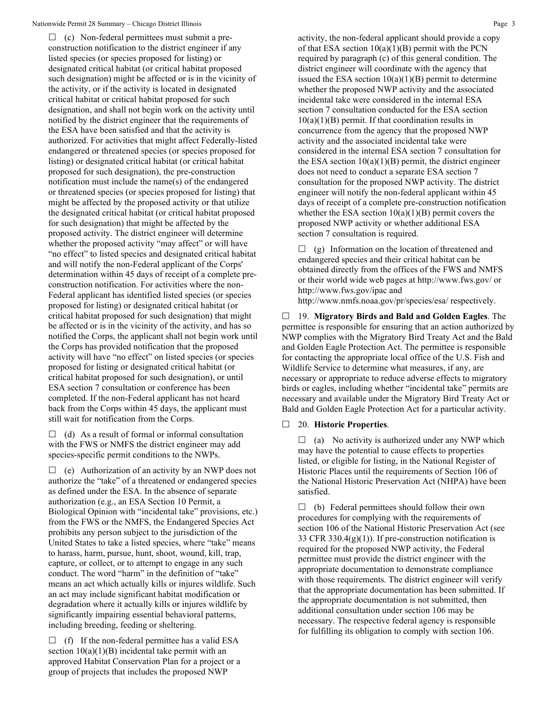#### Nationwide Permit 28 Summary – Chicago District Illinois **Page 3** All and the state of the state of the state of the state of the state of the state of the state of the state of the state of the state of the state of the s

 $\Box$  (c) Non-federal permittees must submit a preconstruction notification to the district engineer if any listed species (or species proposed for listing) or designated critical habitat (or critical habitat proposed such designation) might be affected or is in the vicinity of the activity, or if the activity is located in designated critical habitat or critical habitat proposed for such designation, and shall not begin work on the activity until notified by the district engineer that the requirements of the ESA have been satisfied and that the activity is authorized. For activities that might affect Federally-listed endangered or threatened species (or species proposed for listing) or designated critical habitat (or critical habitat proposed for such designation), the pre-construction notification must include the name(s) of the endangered or threatened species (or species proposed for listing) that might be affected by the proposed activity or that utilize the designated critical habitat (or critical habitat proposed for such designation) that might be affected by the proposed activity. The district engineer will determine whether the proposed activity "may affect" or will have "no effect" to listed species and designated critical habitat and will notify the non-Federal applicant of the Corps' determination within 45 days of receipt of a complete preconstruction notification. For activities where the non-Federal applicant has identified listed species (or species proposed for listing) or designated critical habitat (or critical habitat proposed for such designation) that might be affected or is in the vicinity of the activity, and has so notified the Corps, the applicant shall not begin work until the Corps has provided notification that the proposed activity will have "no effect" on listed species (or species proposed for listing or designated critical habitat (or critical habitat proposed for such designation), or until ESA section 7 consultation or conference has been completed. If the non-Federal applicant has not heard back from the Corps within 45 days, the applicant must still wait for notification from the Corps.

 $\Box$  (d) As a result of formal or informal consultation with the FWS or NMFS the district engineer may add species-specific permit conditions to the NWPs.

 $\Box$  (e) Authorization of an activity by an NWP does not authorize the "take" of a threatened or endangered species as defined under the ESA. In the absence of separate authorization (e.g., an ESA Section 10 Permit, a Biological Opinion with "incidental take" provisions, etc.) from the FWS or the NMFS, the Endangered Species Act prohibits any person subject to the jurisdiction of the United States to take a listed species, where "take" means to harass, harm, pursue, hunt, shoot, wound, kill, trap, capture, or collect, or to attempt to engage in any such conduct. The word "harm" in the definition of "take" means an act which actually kills or injures wildlife. Such an act may include significant habitat modification or degradation where it actually kills or injures wildlife by significantly impairing essential behavioral patterns, including breeding, feeding or sheltering.

 $\Box$  (f) If the non-federal permittee has a valid ESA section  $10(a)(1)(B)$  incidental take permit with an approved Habitat Conservation Plan for a project or a group of projects that includes the proposed NWP

activity, the non-federal applicant should provide a copy of that ESA section  $10(a)(1)(B)$  permit with the PCN required by paragraph (c) of this general condition. The district engineer will coordinate with the agency that issued the ESA section  $10(a)(1)(B)$  permit to determine whether the proposed NWP activity and the associated incidental take were considered in the internal ESA section 7 consultation conducted for the ESA section  $10(a)(1)(B)$  permit. If that coordination results in concurrence from the agency that the proposed NWP activity and the associated incidental take were considered in the internal ESA section 7 consultation for the ESA section  $10(a)(1)(B)$  permit, the district engineer does not need to conduct a separate ESA section 7 consultation for the proposed NWP activity. The district engineer will notify the non-federal applicant within 45 days of receipt of a complete pre-construction notification whether the ESA section  $10(a)(1)(B)$  permit covers the proposed NWP activity or whether additional ESA section 7 consultation is required.

 $\Box$  (g) Information on the location of threatened and endangered species and their critical habitat can be obtained directly from the offices of the FWS and NMFS or their world wide web pages at http://www.fws.gov/ or http://www.fws.gov/ipac and

http://www.nmfs.noaa.gov/pr/species/esa/ respectively.

 19. **Migratory Birds and Bald and Golden Eagles**. The permittee is responsible for ensuring that an action authorized by NWP complies with the Migratory Bird Treaty Act and the Bald and Golden Eagle Protection Act. The permittee is responsible for contacting the appropriate local office of the U.S. Fish and Wildlife Service to determine what measures, if any, are necessary or appropriate to reduce adverse effects to migratory birds or eagles, including whether "incidental take" permits are necessary and available under the Migratory Bird Treaty Act or Bald and Golden Eagle Protection Act for a particular activity.

## 20. **Historic Properties**.

 $\Box$  (a) No activity is authorized under any NWP which may have the potential to cause effects to properties listed, or eligible for listing, in the National Register of Historic Places until the requirements of Section 106 of the National Historic Preservation Act (NHPA) have been satisfied.

 $\Box$  (b) Federal permittees should follow their own procedures for complying with the requirements of section 106 of the National Historic Preservation Act (see 33 CFR 330.4 $(g)(1)$ ). If pre-construction notification is required for the proposed NWP activity, the Federal permittee must provide the district engineer with the appropriate documentation to demonstrate compliance with those requirements. The district engineer will verify that the appropriate documentation has been submitted. If the appropriate documentation is not submitted, then additional consultation under section 106 may be necessary. The respective federal agency is responsible for fulfilling its obligation to comply with section 106.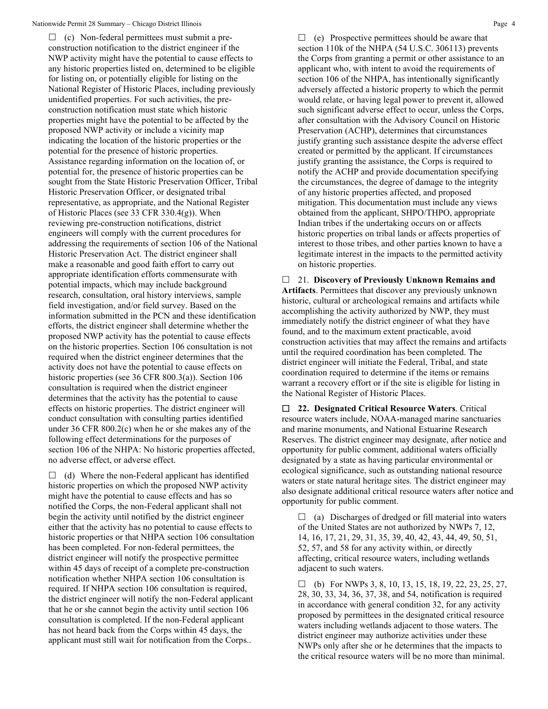$\Box$  (c) Non-federal permittees must submit a preconstruction notification to the district engineer if the NWP activity might have the potential to cause effects to any historic properties listed on, determined to be eligible for listing on, or potentially eligible for listing on the National Register of Historic Places, including previously unidentified properties. For such activities, the preconstruction notification must state which historic properties might have the potential to be affected by the proposed NWP activity or include a vicinity map indicating the location of the historic properties or the potential for the presence of historic properties. Assistance regarding information on the location of, or potential for, the presence of historic properties can be sought from the State Historic Preservation Officer, Tribal Historic Preservation Officer, or designated tribal representative, as appropriate, and the National Register of Historic Places (see 33 CFR 330.4(g)). When reviewing pre-construction notifications, district engineers will comply with the current procedures for addressing the requirements of section 106 of the National Historic Preservation Act. The district engineer shall make a reasonable and good faith effort to carry out appropriate identification efforts commensurate with potential impacts, which may include background research, consultation, oral history interviews, sample field investigation, and/or field survey. Based on the information submitted in the PCN and these identification efforts, the district engineer shall determine whether the proposed NWP activity has the potential to cause effects on the historic properties. Section 106 consultation is not required when the district engineer determines that the activity does not have the potential to cause effects on historic properties (see 36 CFR 800.3(a)). Section 106 consultation is required when the district engineer determines that the activity has the potential to cause effects on historic properties. The district engineer will conduct consultation with consulting parties identified under 36 CFR 800.2(c) when he or she makes any of the following effect determinations for the purposes of section 106 of the NHPA: No historic properties affected, no adverse effect, or adverse effect.

 $\Box$  (d) Where the non-Federal applicant has identified historic properties on which the proposed NWP activity might have the potential to cause effects and has so notified the Corps, the non-Federal applicant shall not begin the activity until notified by the district engineer either that the activity has no potential to cause effects to historic properties or that NHPA section 106 consultation has been completed. For non-federal permittees, the district engineer will notify the prospective permittee within 45 days of receipt of a complete pre-construction notification whether NHPA section 106 consultation is required. If NHPA section 106 consultation is required, the district engineer will notify the non-Federal applicant that he or she cannot begin the activity until section 106 consultation is completed. If the non-Federal applicant has not heard back from the Corps within 45 days, the applicant must still wait for notification from the Corps..

 $\Box$  (e) Prospective permittees should be aware that section 110k of the NHPA (54 U.S.C. 306113) prevents the Corps from granting a permit or other assistance to an applicant who, with intent to avoid the requirements of section 106 of the NHPA, has intentionally significantly adversely affected a historic property to which the permit would relate, or having legal power to prevent it, allowed such significant adverse effect to occur, unless the Corps, after consultation with the Advisory Council on Historic Preservation (ACHP), determines that circumstances justify granting such assistance despite the adverse effect created or permitted by the applicant. If circumstances justify granting the assistance, the Corps is required to notify the ACHP and provide documentation specifying the circumstances, the degree of damage to the integrity of any historic properties affected, and proposed mitigation. This documentation must include any views obtained from the applicant, SHPO/THPO, appropriate Indian tribes if the undertaking occurs on or affects historic properties on tribal lands or affects properties of interest to those tribes, and other parties known to have a legitimate interest in the impacts to the permitted activity on historic properties.

 21. **Discovery of Previously Unknown Remains and Artifacts**. Permittees that discover any previously unknown historic, cultural or archeological remains and artifacts while accomplishing the activity authorized by NWP, they must immediately notify the district engineer of what they have found, and to the maximum extent practicable, avoid construction activities that may affect the remains and artifacts until the required coordination has been completed. The district engineer will initiate the Federal, Tribal, and state coordination required to determine if the items or remains warrant a recovery effort or if the site is eligible for listing in the National Register of Historic Places.

 **22. Designated Critical Resource Waters**. Critical resource waters include, NOAA-managed marine sanctuaries and marine monuments, and National Estuarine Research Reserves. The district engineer may designate, after notice and opportunity for public comment, additional waters officially designated by a state as having particular environmental or ecological significance, such as outstanding national resource waters or state natural heritage sites. The district engineer may also designate additional critical resource waters after notice and opportunity for public comment.

 $\Box$  (a) Discharges of dredged or fill material into waters of the United States are not authorized by NWPs 7, 12, 14, 16, 17, 21, 29, 31, 35, 39, 40, 42, 43, 44, 49, 50, 51, 52, 57, and 58 for any activity within, or directly affecting, critical resource waters, including wetlands adjacent to such waters.

 $\Box$  (b) For NWPs 3, 8, 10, 13, 15, 18, 19, 22, 23, 25, 27, 28, 30, 33, 34, 36, 37, 38, and 54, notification is required in accordance with general condition 32, for any activity proposed by permittees in the designated critical resource waters including wetlands adjacent to those waters. The district engineer may authorize activities under these NWPs only after she or he determines that the impacts to the critical resource waters will be no more than minimal.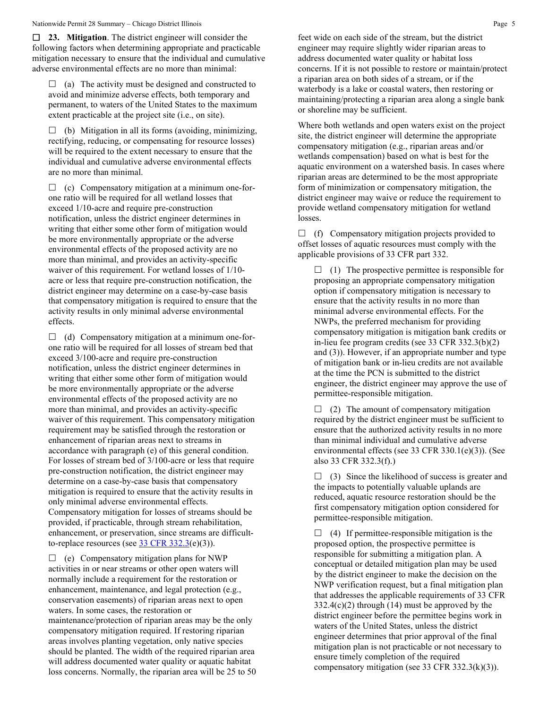#### Nationwide Permit 28 Summary – Chicago District Illinois **Page 5 Page 5**

 **23. Mitigation**. The district engineer will consider the following factors when determining appropriate and practicable mitigation necessary to ensure that the individual and cumulative adverse environmental effects are no more than minimal:

 $\Box$  (a) The activity must be designed and constructed to avoid and minimize adverse effects, both temporary and permanent, to waters of the United States to the maximum extent practicable at the project site (i.e., on site).

 $\Box$  (b) Mitigation in all its forms (avoiding, minimizing, rectifying, reducing, or compensating for resource losses) will be required to the extent necessary to ensure that the individual and cumulative adverse environmental effects are no more than minimal.

 $\Box$  (c) Compensatory mitigation at a minimum one-forone ratio will be required for all wetland losses that exceed 1/10-acre and require pre-construction notification, unless the district engineer determines in writing that either some other form of mitigation would be more environmentally appropriate or the adverse environmental effects of the proposed activity are no more than minimal, and provides an activity-specific waiver of this requirement. For wetland losses of 1/10 acre or less that require pre-construction notification, the district engineer may determine on a case-by-case basis that compensatory mitigation is required to ensure that the activity results in only minimal adverse environmental effects.

 $\Box$  (d) Compensatory mitigation at a minimum one-forone ratio will be required for all losses of stream bed that exceed 3/100-acre and require pre-construction notification, unless the district engineer determines in writing that either some other form of mitigation would be more environmentally appropriate or the adverse environmental effects of the proposed activity are no more than minimal, and provides an activity-specific waiver of this requirement. This compensatory mitigation requirement may be satisfied through the restoration or enhancement of riparian areas next to streams in accordance with paragraph (e) of this general condition. For losses of stream bed of 3/100-acre or less that require pre-construction notification, the district engineer may determine on a case-by-case basis that compensatory mitigation is required to ensure that the activity results in only minimal adverse environmental effects. Compensatory mitigation for losses of streams should be provided, if practicable, through stream rehabilitation, enhancement, or preservation, since streams are difficultto-replace resources (see  $33 \text{ CFR } 332.3(e)(3)$ ).

 $\Box$  (e) Compensatory mitigation plans for NWP activities in or near streams or other open waters will normally include a requirement for the restoration or enhancement, maintenance, and legal protection (e.g., conservation easements) of riparian areas next to open waters. In some cases, the restoration or maintenance/protection of riparian areas may be the only compensatory mitigation required. If restoring riparian areas involves planting vegetation, only native species should be planted. The width of the required riparian area will address documented water quality or aquatic habitat loss concerns. Normally, the riparian area will be 25 to 50 feet wide on each side of the stream, but the district engineer may require slightly wider riparian areas to address documented water quality or habitat loss concerns. If it is not possible to restore or maintain/protect a riparian area on both sides of a stream, or if the waterbody is a lake or coastal waters, then restoring or maintaining/protecting a riparian area along a single bank or shoreline may be sufficient.

Where both wetlands and open waters exist on the project site, the district engineer will determine the appropriate compensatory mitigation (e.g., riparian areas and/or wetlands compensation) based on what is best for the aquatic environment on a watershed basis. In cases where riparian areas are determined to be the most appropriate form of minimization or compensatory mitigation, the district engineer may waive or reduce the requirement to provide wetland compensatory mitigation for wetland losses.

 $\Box$  (f) Compensatory mitigation projects provided to offset losses of aquatic resources must comply with the applicable provisions of 33 CFR part 332.

 $\Box$  (1) The prospective permittee is responsible for proposing an appropriate compensatory mitigation option if compensatory mitigation is necessary to ensure that the activity results in no more than minimal adverse environmental effects. For the NWPs, the preferred mechanism for providing compensatory mitigation is mitigation bank credits or in-lieu fee program credits (see 33 CFR 332.3(b)(2) and (3)). However, if an appropriate number and type of mitigation bank or in-lieu credits are not available at the time the PCN is submitted to the district engineer, the district engineer may approve the use of permittee-responsible mitigation.

 $\Box$  (2) The amount of compensatory mitigation required by the district engineer must be sufficient to ensure that the authorized activity results in no more than minimal individual and cumulative adverse environmental effects (see 33 CFR 330.1(e)(3)). (See also 33 CFR 332.3(f).)

 $\Box$  (3) Since the likelihood of success is greater and the impacts to potentially valuable uplands are reduced, aquatic resource restoration should be the first compensatory mitigation option considered for permittee-responsible mitigation.

 $\Box$  (4) If permittee-responsible mitigation is the proposed option, the prospective permittee is responsible for submitting a mitigation plan. A conceptual or detailed mitigation plan may be used by the district engineer to make the decision on the NWP verification request, but a final mitigation plan that addresses the applicable requirements of 33 CFR  $332.4(c)(2)$  through (14) must be approved by the district engineer before the permittee begins work in waters of the United States, unless the district engineer determines that prior approval of the final mitigation plan is not practicable or not necessary to ensure timely completion of the required compensatory mitigation (see 33 CFR 332.3(k)(3)).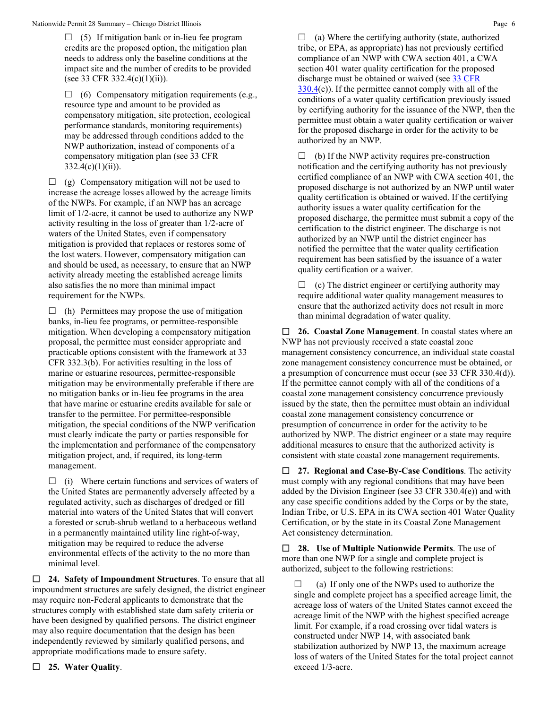$\Box$  (5) If mitigation bank or in-lieu fee program credits are the proposed option, the mitigation plan needs to address only the baseline conditions at the impact site and the number of credits to be provided (see 33 CFR 332.4(c)(1)(ii)).

 $\Box$  (6) Compensatory mitigation requirements (e.g., resource type and amount to be provided as compensatory mitigation, site protection, ecological performance standards, monitoring requirements) may be addressed through conditions added to the NWP authorization, instead of components of a compensatory mitigation plan (see 33 CFR  $332.4(c)(1)(ii)$ ).

 $\Box$  (g) Compensatory mitigation will not be used to increase the acreage losses allowed by the acreage limits of the NWPs. For example, if an NWP has an acreage limit of 1/2-acre, it cannot be used to authorize any NWP activity resulting in the loss of greater than 1/2-acre of waters of the United States, even if compensatory mitigation is provided that replaces or restores some of the lost waters. However, compensatory mitigation can and should be used, as necessary, to ensure that an NWP activity already meeting the established acreage limits also satisfies the no more than minimal impact requirement for the NWPs.

 $\Box$  (h) Permittees may propose the use of mitigation banks, in-lieu fee programs, or permittee-responsible mitigation. When developing a compensatory mitigation proposal, the permittee must consider appropriate and practicable options consistent with the framework at 33 CFR 332.3(b). For activities resulting in the loss of marine or estuarine resources, permittee-responsible mitigation may be environmentally preferable if there are no mitigation banks or in-lieu fee programs in the area that have marine or estuarine credits available for sale or transfer to the permittee. For permittee-responsible mitigation, the special conditions of the NWP verification must clearly indicate the party or parties responsible for the implementation and performance of the compensatory mitigation project, and, if required, its long-term management.

 $\Box$  (i) Where certain functions and services of waters of the United States are permanently adversely affected by a regulated activity, such as discharges of dredged or fill material into waters of the United States that will convert a forested or scrub-shrub wetland to a herbaceous wetland in a permanently maintained utility line right-of-way, mitigation may be required to reduce the adverse environmental effects of the activity to the no more than minimal level.

 **24. Safety of Impoundment Structures**. To ensure that all impoundment structures are safely designed, the district engineer may require non-Federal applicants to demonstrate that the structures comply with established state dam safety criteria or have been designed by qualified persons. The district engineer may also require documentation that the design has been independently reviewed by similarly qualified persons, and appropriate modifications made to ensure safety.

 $\Box$  (a) Where the certifying authority (state, authorized tribe, or EPA, as appropriate) has not previously certified compliance of an NWP with CWA section 401, a CWA section 401 water quality certification for the proposed discharge must be obtained or waived (see 33 CFR  $330.4(c)$  $330.4(c)$ ). If the permittee cannot comply with all of the conditions of a water quality certification previously issued by certifying authority for the issuance of the NWP, then the permittee must obtain a water quality certification or waiver for the proposed discharge in order for the activity to be authorized by an NWP.

 $\Box$  (b) If the NWP activity requires pre-construction notification and the certifying authority has not previously certified compliance of an NWP with CWA section 401, the proposed discharge is not authorized by an NWP until water quality certification is obtained or waived. If the certifying authority issues a water quality certification for the proposed discharge, the permittee must submit a copy of the certification to the district engineer. The discharge is not authorized by an NWP until the district engineer has notified the permittee that the water quality certification requirement has been satisfied by the issuance of a water quality certification or a waiver.

 $\Box$  (c) The district engineer or certifying authority may require additional water quality management measures to ensure that the authorized activity does not result in more than minimal degradation of water quality.

 **26. Coastal Zone Management**. In coastal states where an NWP has not previously received a state coastal zone management consistency concurrence, an individual state coastal zone management consistency concurrence must be obtained, or a presumption of concurrence must occur (see 33 CFR 330.4(d)). If the permittee cannot comply with all of the conditions of a coastal zone management consistency concurrence previously issued by the state, then the permittee must obtain an individual coastal zone management consistency concurrence or presumption of concurrence in order for the activity to be authorized by NWP. The district engineer or a state may require additional measures to ensure that the authorized activity is consistent with state coastal zone management requirements.

 **27. Regional and Case-By-Case Conditions**. The activity must comply with any regional conditions that may have been added by the Division Engineer (see 33 CFR 330.4(e)) and with any case specific conditions added by the Corps or by the state, Indian Tribe, or U.S. EPA in its CWA section 401 Water Quality Certification, or by the state in its Coastal Zone Management Act consistency determination.

 **28. Use of Multiple Nationwide Permits**. The use of more than one NWP for a single and complete project is authorized, subject to the following restrictions:

 $\Box$  (a) If only one of the NWPs used to authorize the single and complete project has a specified acreage limit, the acreage loss of waters of the United States cannot exceed the acreage limit of the NWP with the highest specified acreage limit. For example, if a road crossing over tidal waters is constructed under NWP 14, with associated bank stabilization authorized by NWP 13, the maximum acreage loss of waters of the United States for the total project cannot exceed 1/3-acre.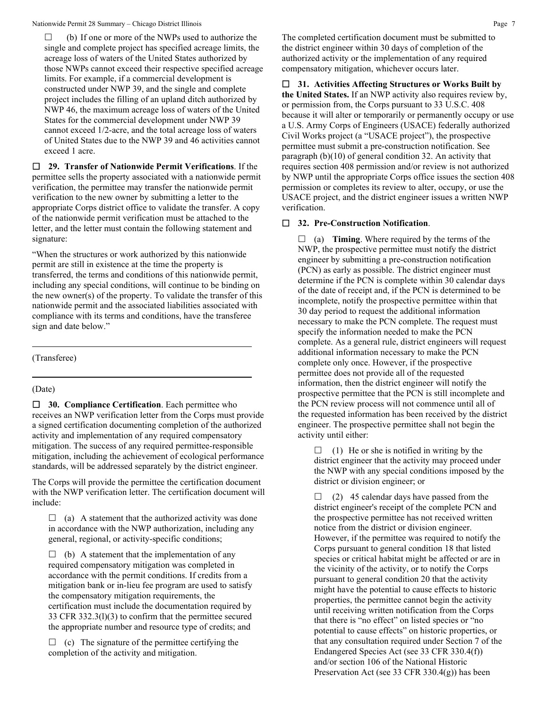$\Box$  (b) If one or more of the NWPs used to authorize the single and complete project has specified acreage limits, the acreage loss of waters of the United States authorized by those NWPs cannot exceed their respective specified acreage limits. For example, if a commercial development is constructed under NWP 39, and the single and complete project includes the filling of an upland ditch authorized by NWP 46, the maximum acreage loss of waters of the United States for the commercial development under NWP 39 cannot exceed 1/2-acre, and the total acreage loss of waters of United States due to the NWP 39 and 46 activities cannot exceed 1 acre.

 **29. Transfer of Nationwide Permit Verifications**. If the permittee sells the property associated with a nationwide permit verification, the permittee may transfer the nationwide permit verification to the new owner by submitting a letter to the appropriate Corps district office to validate the transfer. A copy of the nationwide permit verification must be attached to the letter, and the letter must contain the following statement and signature:

"When the structures or work authorized by this nationwide permit are still in existence at the time the property is transferred, the terms and conditions of this nationwide permit, including any special conditions, will continue to be binding on the new owner(s) of the property. To validate the transfer of this nationwide permit and the associated liabilities associated with compliance with its terms and conditions, have the transferee sign and date below."

(Transferee)

# (Date)

 **30. Compliance Certification**. Each permittee who receives an NWP verification letter from the Corps must provide a signed certification documenting completion of the authorized activity and implementation of any required compensatory mitigation. The success of any required permittee-responsible mitigation, including the achievement of ecological performance standards, will be addressed separately by the district engineer.

The Corps will provide the permittee the certification document with the NWP verification letter. The certification document will include:

 $\Box$  (a) A statement that the authorized activity was done in accordance with the NWP authorization, including any general, regional, or activity-specific conditions;

 $\Box$  (b) A statement that the implementation of any required compensatory mitigation was completed in accordance with the permit conditions. If credits from a mitigation bank or in-lieu fee program are used to satisfy the compensatory mitigation requirements, the certification must include the documentation required by 33 CFR 332.3(l)(3) to confirm that the permittee secured the appropriate number and resource type of credits; and

 $\Box$  (c) The signature of the permittee certifying the completion of the activity and mitigation.

The completed certification document must be submitted to the district engineer within 30 days of completion of the authorized activity or the implementation of any required compensatory mitigation, whichever occurs later.

 **31. Activities Affecting Structures or Works Built by the United States.** If an NWP activity also requires review by, or permission from, the Corps pursuant to 33 U.S.C. 408 because it will alter or temporarily or permanently occupy or use a U.S. Army Corps of Engineers (USACE) federally authorized Civil Works project (a "USACE project"), the prospective permittee must submit a pre-construction notification. See paragraph (b)(10) of general condition 32. An activity that requires section 408 permission and/or review is not authorized by NWP until the appropriate Corps office issues the section 408 permission or completes its review to alter, occupy, or use the USACE project, and the district engineer issues a written NWP verification.

## **32. Pre-Construction Notification**.

 $\Box$  (a) **Timing**. Where required by the terms of the NWP, the prospective permittee must notify the district engineer by submitting a pre-construction notification (PCN) as early as possible. The district engineer must determine if the PCN is complete within 30 calendar days of the date of receipt and, if the PCN is determined to be incomplete, notify the prospective permittee within that 30 day period to request the additional information necessary to make the PCN complete. The request must specify the information needed to make the PCN complete. As a general rule, district engineers will request additional information necessary to make the PCN complete only once. However, if the prospective permittee does not provide all of the requested information, then the district engineer will notify the prospective permittee that the PCN is still incomplete and the PCN review process will not commence until all of the requested information has been received by the district engineer. The prospective permittee shall not begin the activity until either:

 $\Box$  (1) He or she is notified in writing by the district engineer that the activity may proceed under the NWP with any special conditions imposed by the district or division engineer; or

 $\Box$  (2) 45 calendar days have passed from the district engineer's receipt of the complete PCN and the prospective permittee has not received written notice from the district or division engineer. However, if the permittee was required to notify the Corps pursuant to general condition 18 that listed species or critical habitat might be affected or are in the vicinity of the activity, or to notify the Corps pursuant to general condition 20 that the activity might have the potential to cause effects to historic properties, the permittee cannot begin the activity until receiving written notification from the Corps that there is "no effect" on listed species or "no potential to cause effects" on historic properties, or that any consultation required under Section 7 of the Endangered Species Act (see 33 CFR 330.4(f)) and/or section 106 of the National Historic Preservation Act (see 33 CFR 330.4(g)) has been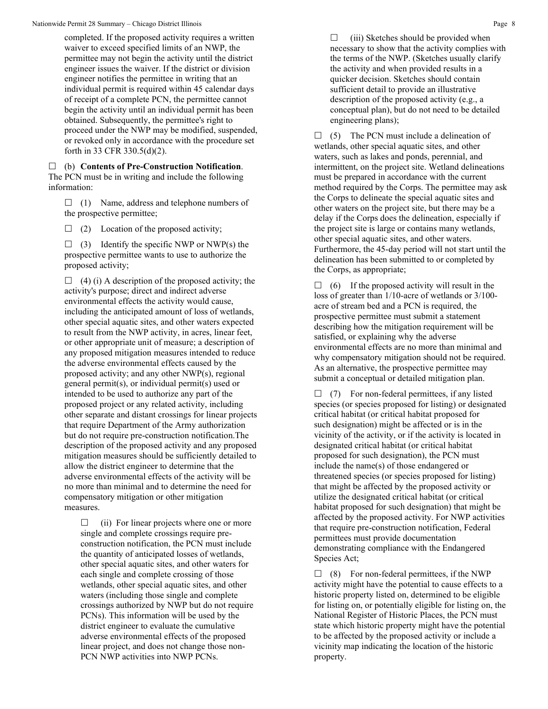Nationwide Permit 28 Summary – Chicago District Illinois **Page 8** Second 1.1 and 2.1 and 2.1 and 2.1 and 2.1 and 2.1 and 2.1 and 2.1 and 2.1 and 2.1 and 2.1 and 2.1 and 2.1 and 2.1 and 2.1 and 2.1 and 2.1 and 2.1 and 2.1 a

completed. If the proposed activity requires a written waiver to exceed specified limits of an NWP, the permittee may not begin the activity until the district engineer issues the waiver. If the district or division engineer notifies the permittee in writing that an individual permit is required within 45 calendar days of receipt of a complete PCN, the permittee cannot begin the activity until an individual permit has been obtained. Subsequently, the permittee's right to proceed under the NWP may be modified, suspended, or revoked only in accordance with the procedure set forth in 33 CFR 330.5(d)(2).

 (b) **Contents of Pre-Construction Notification**. The PCN must be in writing and include the following information:

 $\Box$  (1) Name, address and telephone numbers of the prospective permittee;

 $\Box$  (2) Location of the proposed activity;

 $\Box$  (3) Identify the specific NWP or NWP(s) the prospective permittee wants to use to authorize the proposed activity;

 $\Box$  (4) (i) A description of the proposed activity; the activity's purpose; direct and indirect adverse environmental effects the activity would cause, including the anticipated amount of loss of wetlands, other special aquatic sites, and other waters expected to result from the NWP activity, in acres, linear feet, or other appropriate unit of measure; a description of any proposed mitigation measures intended to reduce the adverse environmental effects caused by the proposed activity; and any other NWP(s), regional general permit(s), or individual permit(s) used or intended to be used to authorize any part of the proposed project or any related activity, including other separate and distant crossings for linear projects that require Department of the Army authorization but do not require pre-construction notification.The description of the proposed activity and any proposed mitigation measures should be sufficiently detailed to allow the district engineer to determine that the adverse environmental effects of the activity will be no more than minimal and to determine the need for compensatory mitigation or other mitigation measures.

 $\Box$  (ii) For linear projects where one or more single and complete crossings require preconstruction notification, the PCN must include the quantity of anticipated losses of wetlands, other special aquatic sites, and other waters for each single and complete crossing of those wetlands, other special aquatic sites, and other waters (including those single and complete crossings authorized by NWP but do not require PCNs). This information will be used by the district engineer to evaluate the cumulative adverse environmental effects of the proposed linear project, and does not change those non-PCN NWP activities into NWP PCNs.

 $\Box$  (iii) Sketches should be provided when necessary to show that the activity complies with the terms of the NWP. (Sketches usually clarify the activity and when provided results in a quicker decision. Sketches should contain sufficient detail to provide an illustrative description of the proposed activity (e.g., a conceptual plan), but do not need to be detailed engineering plans);

 $\Box$  (5) The PCN must include a delineation of wetlands, other special aquatic sites, and other waters, such as lakes and ponds, perennial, and intermittent, on the project site. Wetland delineations must be prepared in accordance with the current method required by the Corps. The permittee may ask the Corps to delineate the special aquatic sites and other waters on the project site, but there may be a delay if the Corps does the delineation, especially if the project site is large or contains many wetlands, other special aquatic sites, and other waters. Furthermore, the 45-day period will not start until the delineation has been submitted to or completed by the Corps, as appropriate;

 $\Box$  (6) If the proposed activity will result in the loss of greater than 1/10-acre of wetlands or 3/100 acre of stream bed and a PCN is required, the prospective permittee must submit a statement describing how the mitigation requirement will be satisfied, or explaining why the adverse environmental effects are no more than minimal and why compensatory mitigation should not be required. As an alternative, the prospective permittee may submit a conceptual or detailed mitigation plan.

 $\Box$  (7) For non-federal permittees, if any listed species (or species proposed for listing) or designated critical habitat (or critical habitat proposed for such designation) might be affected or is in the vicinity of the activity, or if the activity is located in designated critical habitat (or critical habitat proposed for such designation), the PCN must include the name(s) of those endangered or threatened species (or species proposed for listing) that might be affected by the proposed activity or utilize the designated critical habitat (or critical habitat proposed for such designation) that might be affected by the proposed activity. For NWP activities that require pre-construction notification, Federal permittees must provide documentation demonstrating compliance with the Endangered Species Act;

 $\Box$  (8) For non-federal permittees, if the NWP activity might have the potential to cause effects to a historic property listed on, determined to be eligible for listing on, or potentially eligible for listing on, the National Register of Historic Places, the PCN must state which historic property might have the potential to be affected by the proposed activity or include a vicinity map indicating the location of the historic property.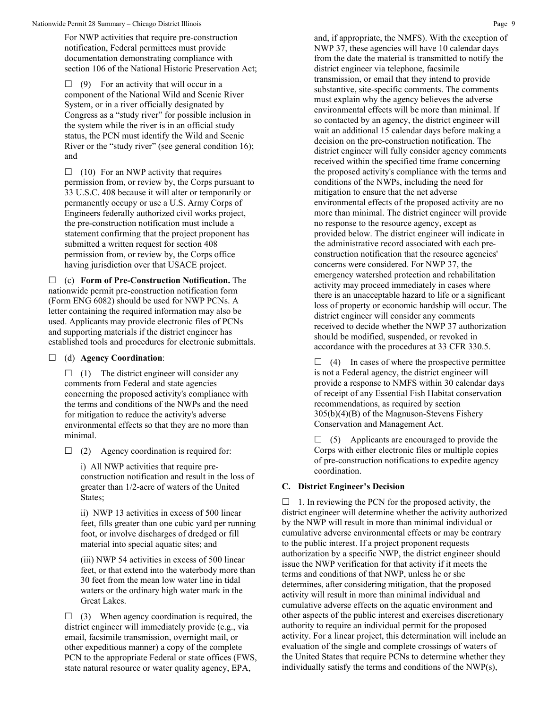For NWP activities that require pre-construction notification, Federal permittees must provide documentation demonstrating compliance with section 106 of the National Historic Preservation Act;

 $\Box$  (9) For an activity that will occur in a component of the National Wild and Scenic River System, or in a river officially designated by Congress as a "study river" for possible inclusion in the system while the river is in an official study status, the PCN must identify the Wild and Scenic River or the "study river" (see general condition 16); and

 $\Box$  (10) For an NWP activity that requires permission from, or review by, the Corps pursuant to 33 U.S.C. 408 because it will alter or temporarily or permanently occupy or use a U.S. Army Corps of Engineers federally authorized civil works project, the pre-construction notification must include a statement confirming that the project proponent has submitted a written request for section 408 permission from, or review by, the Corps office having jurisdiction over that USACE project.

 (c) **Form of Pre-Construction Notification.** The nationwide permit pre-construction notification form (Form ENG 6082) should be used for NWP PCNs. A letter containing the required information may also be used. Applicants may provide electronic files of PCNs and supporting materials if the district engineer has established tools and procedures for electronic submittals.

## (d) **Agency Coordination**:

 $\Box$  (1) The district engineer will consider any comments from Federal and state agencies concerning the proposed activity's compliance with the terms and conditions of the NWPs and the need for mitigation to reduce the activity's adverse environmental effects so that they are no more than minimal.

 $\Box$  (2) Agency coordination is required for:

i) All NWP activities that require preconstruction notification and result in the loss of greater than 1/2-acre of waters of the United States;

ii) NWP 13 activities in excess of 500 linear feet, fills greater than one cubic yard per running foot, or involve discharges of dredged or fill material into special aquatic sites; and

(iii) NWP 54 activities in excess of 500 linear feet, or that extend into the waterbody more than 30 feet from the mean low water line in tidal waters or the ordinary high water mark in the Great Lakes.

 $\Box$  (3) When agency coordination is required, the district engineer will immediately provide (e.g., via email, facsimile transmission, overnight mail, or other expeditious manner) a copy of the complete PCN to the appropriate Federal or state offices (FWS, state natural resource or water quality agency, EPA,

and, if appropriate, the NMFS). With the exception of NWP 37, these agencies will have 10 calendar days from the date the material is transmitted to notify the district engineer via telephone, facsimile transmission, or email that they intend to provide substantive, site-specific comments. The comments must explain why the agency believes the adverse environmental effects will be more than minimal. If so contacted by an agency, the district engineer will wait an additional 15 calendar days before making a decision on the pre-construction notification. The district engineer will fully consider agency comments received within the specified time frame concerning the proposed activity's compliance with the terms and conditions of the NWPs, including the need for mitigation to ensure that the net adverse environmental effects of the proposed activity are no more than minimal. The district engineer will provide no response to the resource agency, except as provided below. The district engineer will indicate in the administrative record associated with each preconstruction notification that the resource agencies' concerns were considered. For NWP 37, the emergency watershed protection and rehabilitation activity may proceed immediately in cases where there is an unacceptable hazard to life or a significant loss of property or economic hardship will occur. The district engineer will consider any comments received to decide whether the NWP 37 authorization should be modified, suspended, or revoked in accordance with the procedures at 33 CFR 330.5.

 $\Box$  (4) In cases of where the prospective permittee is not a Federal agency, the district engineer will provide a response to NMFS within 30 calendar days of receipt of any Essential Fish Habitat conservation recommendations, as required by section 305(b)(4)(B) of the Magnuson-Stevens Fishery Conservation and Management Act.

 $\Box$  (5) Applicants are encouraged to provide the Corps with either electronic files or multiple copies of pre-construction notifications to expedite agency coordination.

## **C. District Engineer's Decision**

 $\Box$  1. In reviewing the PCN for the proposed activity, the district engineer will determine whether the activity authorized by the NWP will result in more than minimal individual or cumulative adverse environmental effects or may be contrary to the public interest. If a project proponent requests authorization by a specific NWP, the district engineer should issue the NWP verification for that activity if it meets the terms and conditions of that NWP, unless he or she determines, after considering mitigation, that the proposed activity will result in more than minimal individual and cumulative adverse effects on the aquatic environment and other aspects of the public interest and exercises discretionary authority to require an individual permit for the proposed activity. For a linear project, this determination will include an evaluation of the single and complete crossings of waters of the United States that require PCNs to determine whether they individually satisfy the terms and conditions of the NWP(s),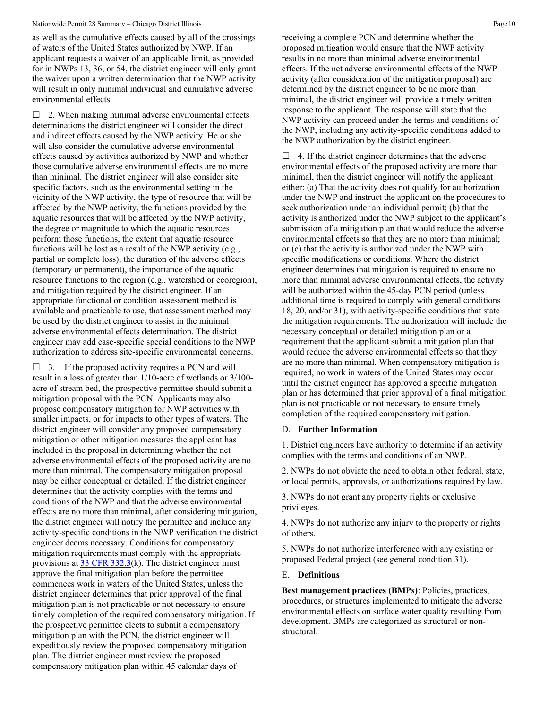#### Nationwide Permit 28 Summary – Chicago District Illinois **Page 10**

as well as the cumulative effects caused by all of the crossings of waters of the United States authorized by NWP. If an applicant requests a waiver of an applicable limit, as provided for in NWPs 13, 36, or 54, the district engineer will only grant the waiver upon a written determination that the NWP activity will result in only minimal individual and cumulative adverse environmental effects.

 $\Box$  2. When making minimal adverse environmental effects determinations the district engineer will consider the direct and indirect effects caused by the NWP activity. He or she will also consider the cumulative adverse environmental effects caused by activities authorized by NWP and whether those cumulative adverse environmental effects are no more than minimal. The district engineer will also consider site specific factors, such as the environmental setting in the vicinity of the NWP activity, the type of resource that will be affected by the NWP activity, the functions provided by the aquatic resources that will be affected by the NWP activity, the degree or magnitude to which the aquatic resources perform those functions, the extent that aquatic resource functions will be lost as a result of the NWP activity (e.g., partial or complete loss), the duration of the adverse effects (temporary or permanent), the importance of the aquatic resource functions to the region (e.g., watershed or ecoregion), and mitigation required by the district engineer. If an appropriate functional or condition assessment method is available and practicable to use, that assessment method may be used by the district engineer to assist in the minimal adverse environmental effects determination. The district engineer may add case-specific special conditions to the NWP authorization to address site-specific environmental concerns.

 $\Box$  3. If the proposed activity requires a PCN and will result in a loss of greater than 1/10-acre of wetlands or 3/100 acre of stream bed, the prospective permittee should submit a mitigation proposal with the PCN. Applicants may also propose compensatory mitigation for NWP activities with smaller impacts, or for impacts to other types of waters. The district engineer will consider any proposed compensatory mitigation or other mitigation measures the applicant has included in the proposal in determining whether the net adverse environmental effects of the proposed activity are no more than minimal. The compensatory mitigation proposal may be either conceptual or detailed. If the district engineer determines that the activity complies with the terms and conditions of the NWP and that the adverse environmental effects are no more than minimal, after considering mitigation, the district engineer will notify the permittee and include any activity-specific conditions in the NWP verification the district engineer deems necessary. Conditions for compensatory mitigation requirements must comply with the appropriate provisions at  $33 \text{ CFR } 332.3(k)$ . The district engineer must approve the final mitigation plan before the permittee commences work in waters of the United States, unless the district engineer determines that prior approval of the final mitigation plan is not practicable or not necessary to ensure timely completion of the required compensatory mitigation. If the prospective permittee elects to submit a compensatory mitigation plan with the PCN, the district engineer will expeditiously review the proposed compensatory mitigation plan. The district engineer must review the proposed compensatory mitigation plan within 45 calendar days of

receiving a complete PCN and determine whether the proposed mitigation would ensure that the NWP activity results in no more than minimal adverse environmental effects. If the net adverse environmental effects of the NWP activity (after consideration of the mitigation proposal) are determined by the district engineer to be no more than minimal, the district engineer will provide a timely written response to the applicant. The response will state that the NWP activity can proceed under the terms and conditions of the NWP, including any activity-specific conditions added to the NWP authorization by the district engineer.

 $\Box$  4. If the district engineer determines that the adverse environmental effects of the proposed activity are more than minimal, then the district engineer will notify the applicant either: (a) That the activity does not qualify for authorization under the NWP and instruct the applicant on the procedures to seek authorization under an individual permit; (b) that the activity is authorized under the NWP subject to the applicant's submission of a mitigation plan that would reduce the adverse environmental effects so that they are no more than minimal; or (c) that the activity is authorized under the NWP with specific modifications or conditions. Where the district engineer determines that mitigation is required to ensure no more than minimal adverse environmental effects, the activity will be authorized within the 45-day PCN period (unless additional time is required to comply with general conditions 18, 20, and/or 31), with activity-specific conditions that state the mitigation requirements. The authorization will include the necessary conceptual or detailed mitigation plan or a requirement that the applicant submit a mitigation plan that would reduce the adverse environmental effects so that they are no more than minimal. When compensatory mitigation is required, no work in waters of the United States may occur until the district engineer has approved a specific mitigation plan or has determined that prior approval of a final mitigation plan is not practicable or not necessary to ensure timely completion of the required compensatory mitigation.

#### D. **Further Information**

1. District engineers have authority to determine if an activity complies with the terms and conditions of an NWP.

2. NWPs do not obviate the need to obtain other federal, state, or local permits, approvals, or authorizations required by law.

3. NWPs do not grant any property rights or exclusive privileges.

4. NWPs do not authorize any injury to the property or rights of others.

5. NWPs do not authorize interference with any existing or proposed Federal project (see general condition 31).

## E. **Definitions**

**Best management practices (BMPs)**: Policies, practices, procedures, or structures implemented to mitigate the adverse environmental effects on surface water quality resulting from development. BMPs are categorized as structural or nonstructural.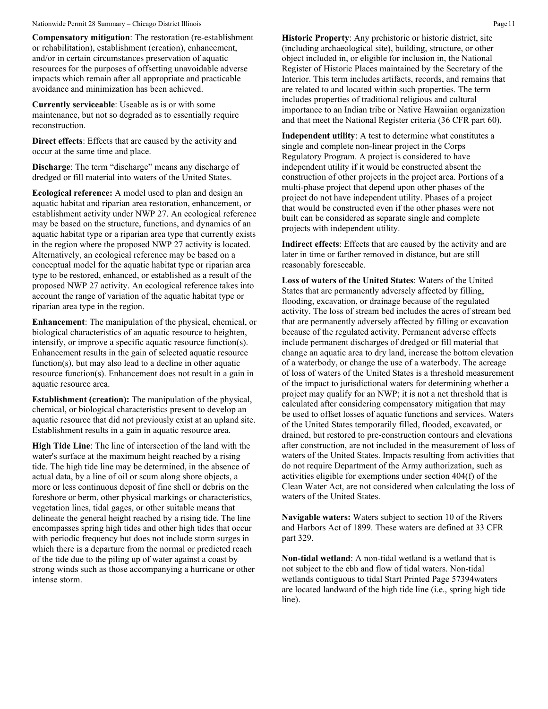#### Nationwide Permit 28 Summary – Chicago District Illinois Page 11

**Compensatory mitigation**: The restoration (re-establishment or rehabilitation), establishment (creation), enhancement, and/or in certain circumstances preservation of aquatic resources for the purposes of offsetting unavoidable adverse impacts which remain after all appropriate and practicable avoidance and minimization has been achieved.

**Currently serviceable**: Useable as is or with some maintenance, but not so degraded as to essentially require reconstruction.

**Direct effects**: Effects that are caused by the activity and occur at the same time and place.

**Discharge**: The term "discharge" means any discharge of dredged or fill material into waters of the United States.

**Ecological reference:** A model used to plan and design an aquatic habitat and riparian area restoration, enhancement, or establishment activity under NWP 27. An ecological reference may be based on the structure, functions, and dynamics of an aquatic habitat type or a riparian area type that currently exists in the region where the proposed NWP 27 activity is located. Alternatively, an ecological reference may be based on a conceptual model for the aquatic habitat type or riparian area type to be restored, enhanced, or established as a result of the proposed NWP 27 activity. An ecological reference takes into account the range of variation of the aquatic habitat type or riparian area type in the region.

**Enhancement**: The manipulation of the physical, chemical, or biological characteristics of an aquatic resource to heighten, intensify, or improve a specific aquatic resource function(s). Enhancement results in the gain of selected aquatic resource function(s), but may also lead to a decline in other aquatic resource function(s). Enhancement does not result in a gain in aquatic resource area.

**Establishment (creation):** The manipulation of the physical, chemical, or biological characteristics present to develop an aquatic resource that did not previously exist at an upland site. Establishment results in a gain in aquatic resource area.

**High Tide Line**: The line of intersection of the land with the water's surface at the maximum height reached by a rising tide. The high tide line may be determined, in the absence of actual data, by a line of oil or scum along shore objects, a more or less continuous deposit of fine shell or debris on the foreshore or berm, other physical markings or characteristics, vegetation lines, tidal gages, or other suitable means that delineate the general height reached by a rising tide. The line encompasses spring high tides and other high tides that occur with periodic frequency but does not include storm surges in which there is a departure from the normal or predicted reach of the tide due to the piling up of water against a coast by strong winds such as those accompanying a hurricane or other intense storm.

**Historic Property**: Any prehistoric or historic district, site (including archaeological site), building, structure, or other object included in, or eligible for inclusion in, the National Register of Historic Places maintained by the Secretary of the Interior. This term includes artifacts, records, and remains that are related to and located within such properties. The term includes properties of traditional religious and cultural importance to an Indian tribe or Native Hawaiian organization and that meet the National Register criteria (36 CFR part 60).

**Independent utility**: A test to determine what constitutes a single and complete non-linear project in the Corps Regulatory Program. A project is considered to have independent utility if it would be constructed absent the construction of other projects in the project area. Portions of a multi-phase project that depend upon other phases of the project do not have independent utility. Phases of a project that would be constructed even if the other phases were not built can be considered as separate single and complete projects with independent utility.

**Indirect effects**: Effects that are caused by the activity and are later in time or farther removed in distance, but are still reasonably foreseeable.

**Loss of waters of the United States**: Waters of the United States that are permanently adversely affected by filling, flooding, excavation, or drainage because of the regulated activity. The loss of stream bed includes the acres of stream bed that are permanently adversely affected by filling or excavation because of the regulated activity. Permanent adverse effects include permanent discharges of dredged or fill material that change an aquatic area to dry land, increase the bottom elevation of a waterbody, or change the use of a waterbody. The acreage of loss of waters of the United States is a threshold measurement of the impact to jurisdictional waters for determining whether a project may qualify for an NWP; it is not a net threshold that is calculated after considering compensatory mitigation that may be used to offset losses of aquatic functions and services. Waters of the United States temporarily filled, flooded, excavated, or drained, but restored to pre-construction contours and elevations after construction, are not included in the measurement of loss of waters of the United States. Impacts resulting from activities that do not require Department of the Army authorization, such as activities eligible for exemptions under section 404(f) of the Clean Water Act, are not considered when calculating the loss of waters of the United States.

**Navigable waters:** Waters subject to section 10 of the Rivers and Harbors Act of 1899. These waters are defined at 33 CFR part 329.

**Non-tidal wetland**: A non-tidal wetland is a wetland that is not subject to the ebb and flow of tidal waters. Non-tidal wetlands contiguous to tidal Start Printed Page 57394waters are located landward of the high tide line (i.e., spring high tide line).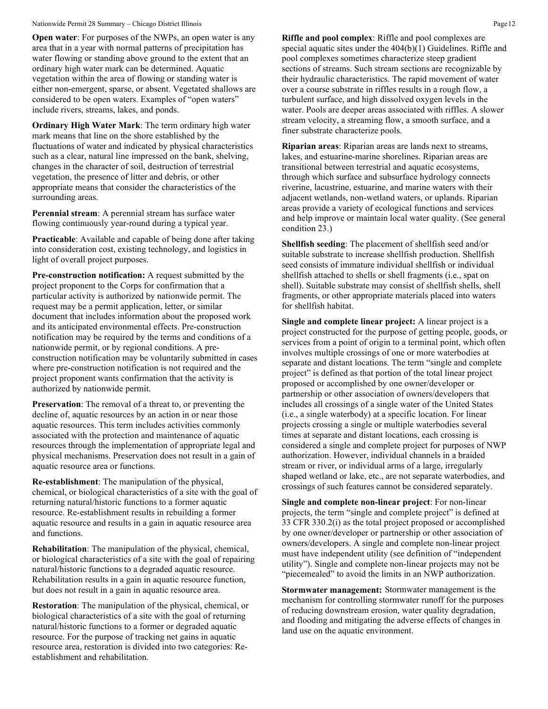## Nationwide Permit 28 Summary – Chicago District Illinois Page 12

**Open water:** For purposes of the NWPs, an open water is any area that in a year with normal patterns of precipitation has water flowing or standing above ground to the extent that an ordinary high water mark can be determined. Aquatic vegetation within the area of flowing or standing water is either non-emergent, sparse, or absent. Vegetated shallows are considered to be open waters. Examples of "open waters" include rivers, streams, lakes, and ponds.

**Ordinary High Water Mark**: The term ordinary high water mark means that line on the shore established by the fluctuations of water and indicated by physical characteristics such as a clear, natural line impressed on the bank, shelving, changes in the character of soil, destruction of terrestrial vegetation, the presence of litter and debris, or other appropriate means that consider the characteristics of the surrounding areas.

**Perennial stream**: A perennial stream has surface water flowing continuously year-round during a typical year.

**Practicable**: Available and capable of being done after taking into consideration cost, existing technology, and logistics in light of overall project purposes.

**Pre-construction notification:** A request submitted by the project proponent to the Corps for confirmation that a particular activity is authorized by nationwide permit. The request may be a permit application, letter, or similar document that includes information about the proposed work and its anticipated environmental effects. Pre-construction notification may be required by the terms and conditions of a nationwide permit, or by regional conditions. A preconstruction notification may be voluntarily submitted in cases where pre-construction notification is not required and the project proponent wants confirmation that the activity is authorized by nationwide permit.

**Preservation**: The removal of a threat to, or preventing the decline of, aquatic resources by an action in or near those aquatic resources. This term includes activities commonly associated with the protection and maintenance of aquatic resources through the implementation of appropriate legal and physical mechanisms. Preservation does not result in a gain of aquatic resource area or functions.

**Re-establishment**: The manipulation of the physical, chemical, or biological characteristics of a site with the goal of returning natural/historic functions to a former aquatic resource. Re-establishment results in rebuilding a former aquatic resource and results in a gain in aquatic resource area and functions.

**Rehabilitation**: The manipulation of the physical, chemical, or biological characteristics of a site with the goal of repairing natural/historic functions to a degraded aquatic resource. Rehabilitation results in a gain in aquatic resource function, but does not result in a gain in aquatic resource area.

**Restoration**: The manipulation of the physical, chemical, or biological characteristics of a site with the goal of returning natural/historic functions to a former or degraded aquatic resource. For the purpose of tracking net gains in aquatic resource area, restoration is divided into two categories: Reestablishment and rehabilitation.

**Riffle and pool complex**: Riffle and pool complexes are special aquatic sites under the 404(b)(1) Guidelines. Riffle and pool complexes sometimes characterize steep gradient sections of streams. Such stream sections are recognizable by their hydraulic characteristics. The rapid movement of water over a course substrate in riffles results in a rough flow, a turbulent surface, and high dissolved oxygen levels in the water. Pools are deeper areas associated with riffles. A slower stream velocity, a streaming flow, a smooth surface, and a finer substrate characterize pools.

**Riparian areas**: Riparian areas are lands next to streams, lakes, and estuarine-marine shorelines. Riparian areas are transitional between terrestrial and aquatic ecosystems, through which surface and subsurface hydrology connects riverine, lacustrine, estuarine, and marine waters with their adjacent wetlands, non-wetland waters, or uplands. Riparian areas provide a variety of ecological functions and services and help improve or maintain local water quality. (See general condition 23.)

**Shellfish seeding**: The placement of shellfish seed and/or suitable substrate to increase shellfish production. Shellfish seed consists of immature individual shellfish or individual shellfish attached to shells or shell fragments (i.e., spat on shell). Suitable substrate may consist of shellfish shells, shell fragments, or other appropriate materials placed into waters for shellfish habitat.

**Single and complete linear project:** A linear project is a project constructed for the purpose of getting people, goods, or services from a point of origin to a terminal point, which often involves multiple crossings of one or more waterbodies at separate and distant locations. The term "single and complete project" is defined as that portion of the total linear project proposed or accomplished by one owner/developer or partnership or other association of owners/developers that includes all crossings of a single water of the United States (i.e., a single waterbody) at a specific location. For linear projects crossing a single or multiple waterbodies several times at separate and distant locations, each crossing is considered a single and complete project for purposes of NWP authorization. However, individual channels in a braided stream or river, or individual arms of a large, irregularly shaped wetland or lake, etc., are not separate waterbodies, and crossings of such features cannot be considered separately.

**Single and complete non-linear project**: For non-linear projects, the term "single and complete project" is defined at 33 CFR 330.2(i) as the total project proposed or accomplished by one owner/developer or partnership or other association of owners/developers. A single and complete non-linear project must have independent utility (see definition of "independent utility"). Single and complete non-linear projects may not be "piecemealed" to avoid the limits in an NWP authorization.

**Stormwater management:** Stormwater management is the mechanism for controlling stormwater runoff for the purposes of reducing downstream erosion, water quality degradation, and flooding and mitigating the adverse effects of changes in land use on the aquatic environment.